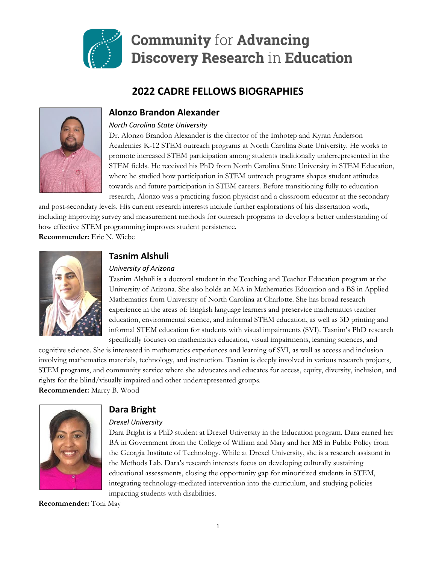

# **Community for Advancing Discovery Research in Education**

# **2022 CADRE FELLOWS BIOGRAPHIES**



# **Alonzo Brandon Alexander**

#### *North Carolina State University*

Dr. Alonzo Brandon Alexander is the director of the Imhotep and Kyran Anderson Academies K-12 STEM outreach programs at North Carolina State University. He works to promote increased STEM participation among students traditionally underrepresented in the STEM fields. He received his PhD from North Carolina State University in STEM Education, where he studied how participation in STEM outreach programs shapes student attitudes towards and future participation in STEM careers. Before transitioning fully to education research, Alonzo was a practicing fusion physicist and a classroom educator at the secondary

and post-secondary levels. His current research interests include further explorations of his dissertation work, including improving survey and measurement methods for outreach programs to develop a better understanding of how effective STEM programming improves student persistence.

**Recommender:** Eric N. Wiebe



# **Tasnim Alshuli**

#### *University of Arizona*

Tasnim Alshuli is a doctoral student in the Teaching and Teacher Education program at the University of Arizona. She also holds an MA in Mathematics Education and a BS in Applied Mathematics from University of North Carolina at Charlotte. She has broad research experience in the areas of: English language learners and preservice mathematics teacher education, environmental science, and informal STEM education, as well as 3D printing and informal STEM education for students with visual impairments (SVI). Tasnim's PhD research specifically focuses on mathematics education, visual impairments, learning sciences, and

cognitive science. She is interested in mathematics experiences and learning of SVI, as well as access and inclusion involving mathematics materials, technology, and instruction. Tasnim is deeply involved in various research projects, STEM programs, and community service where she advocates and educates for access, equity, diversity, inclusion, and rights for the blind/visually impaired and other underrepresented groups. **Recommender:** Marcy B. Wood



# **Dara Bright**

## *Drexel University*

Dara Bright is a PhD student at Drexel University in the Education program. Dara earned her BA in Government from the College of William and Mary and her MS in Public Policy from the Georgia Institute of Technology. While at Drexel University, she is a research assistant in the Methods Lab. Dara's research interests focus on developing culturally sustaining educational assessments, closing the opportunity gap for minoritized students in STEM, integrating technology-mediated intervention into the curriculum, and studying policies impacting students with disabilities.

**Recommender:** Toni May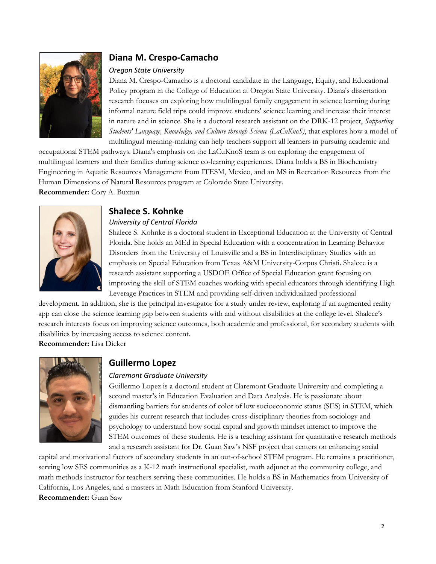

# **Diana M. Crespo-Camacho**

#### *Oregon State University*

Diana M. Crespo-Camacho is a doctoral candidate in the Language, Equity, and Educational Policy program in the College of Education at Oregon State University. Diana's dissertation research focuses on exploring how multilingual family engagement in science learning during informal nature field trips could improve students' science learning and increase their interest in nature and in science. She is a doctoral research assistant on the DRK-12 project, *Supporting Students' Language, Knowledge, and Culture through Science (LaCuKnoS)*, that explores how a model of multilingual meaning-making can help teachers support all learners in pursuing academic and

occupational STEM pathways. Diana's emphasis on the LaCuKnoS team is on exploring the engagement of multilingual learners and their families during science co-learning experiences. Diana holds a BS in Biochemistry Engineering in Aquatic Resources Management from ITESM, Mexico, and an MS in Recreation Resources from the Human Dimensions of Natural Resources program at Colorado State University. **Recommender:** Cory A. Buxton



## **Shalece S. Kohnke**

#### *University of Central Florida*

Shalece S. Kohnke is a doctoral student in Exceptional Education at the University of Central Florida. She holds an MEd in Special Education with a concentration in Learning Behavior Disorders from the University of Louisville and a BS in Interdisciplinary Studies with an emphasis on Special Education from Texas A&M University-Corpus Christi. Shalece is a research assistant supporting a USDOE Office of Special Education grant focusing on improving the skill of STEM coaches working with special educators through identifying High Leverage Practices in STEM and providing self-driven individualized professional

development. In addition, she is the principal investigator for a study under review, exploring if an augmented reality app can close the science learning gap between students with and without disabilities at the college level. Shalece's research interests focus on improving science outcomes, both academic and professional, for secondary students with disabilities by increasing access to science content.

**Recommender:** Lisa Dieker



# **Guillermo Lopez**

#### *Claremont Graduate University*

Guillermo Lopez is a doctoral student at Claremont Graduate University and completing a second master's in Education Evaluation and Data Analysis. He is passionate about dismantling barriers for students of color of low socioeconomic status (SES) in STEM, which guides his current research that includes cross-disciplinary theories from sociology and psychology to understand how social capital and growth mindset interact to improve the STEM outcomes of these students. He is a teaching assistant for quantitative research methods and a research assistant for Dr. Guan Saw's NSF project that centers on enhancing social

capital and motivational factors of secondary students in an out-of-school STEM program. He remains a practitioner, serving low SES communities as a K-12 math instructional specialist, math adjunct at the community college, and math methods instructor for teachers serving these communities. He holds a BS in Mathematics from University of California, Los Angeles, and a masters in Math Education from Stanford University. **Recommender:** Guan Saw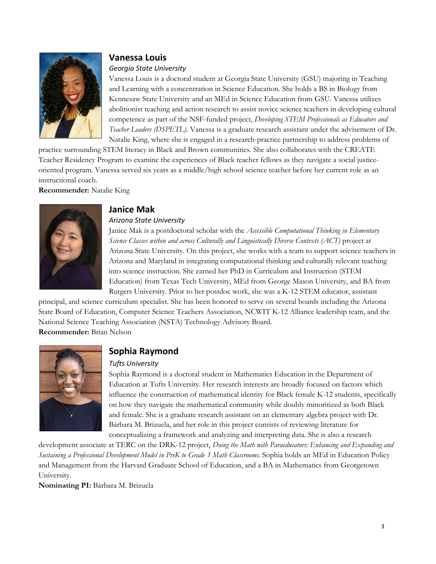

# **Vanessa Louis**

#### *Georgia State University*

Vanessa Louis is a doctoral student at Georgia State University (GSU) majoring in Teaching and Learning with a concentration in Science Education. She holds a BS in Biology from Kennesaw State University and an MEd in Science Education from GSU. Vanessa utilizes abolitionist teaching and action research to assist novice science teachers in developing cultural competence as part of the NSF-funded project, *Developing STEM Professionals as Educators and Teacher Leaders (DSPETL)*. Vanessa is a graduate research assistant under the advisement of Dr. Natalie King, where she is engaged in a research-practice partnership to address problems of

practice surrounding STEM literacy in Black and Brown communities. She also collaborates with the CREATE Teacher Residency Program to examine the experiences of Black teacher fellows as they navigate a social justiceoriented program. Vanessa served six years as a middle/high school science teacher before her current role as an instructional coach.

**Recommender:** Natalie King



## **Janice Mak**

#### *Arizona State University*

Janice Mak is a postdoctoral scholar with the *Accessible Computational Thinking in Elementary Science Classes within and across Culturally and Linguistically Diverse Contexts (ACT)* project at Arizona State University. On this project, she works with a team to support science teachers in Arizona and Maryland in integrating computational thinking and culturally relevant teaching into science instruction. She earned her PhD in Curriculum and Instruction (STEM Education) from Texas Tech University, MEd from George Mason University, and BA from Rutgers University. Prior to her postdoc work, she was a K-12 STEM educator, assistant

principal, and science curriculum specialist. She has been honored to serve on several boards including the Arizona State Board of Education, Computer Science Teachers Association, NCWIT K-12 Alliance leadership team, and the National Science Teaching Association (NSTA) Technology Advisory Board. **Recommender:** Brian Nelson



# **Sophia Raymond**

#### *Tufts University*

Sophia Raymond is a doctoral student in Mathematics Education in the Department of Education at Tufts University. Her research interests are broadly focused on factors which influence the construction of mathematical identity for Black female K-12 students, specifically on how they navigate the mathematical community while doubly minoritized as both Black and female. She is a graduate research assistant on an elementary algebra project with Dr. Bárbara M. Brizuela, and her role in this project consists of reviewing literature for conceptualizing a framework and analyzing and interpreting data. She is also a research

development associate at TERC on the DRK-12 project, *Doing the Math with Paraeducators: Enhancing and Expanding and Sustaining a Professional Development Model in PreK to Grade 3 Math Classrooms*. Sophia holds an MEd in Education Policy and Management from the Harvard Graduate School of Education, and a BA in Mathematics from Georgetown University.

**Nominating PI:** Bárbara M. Brizuela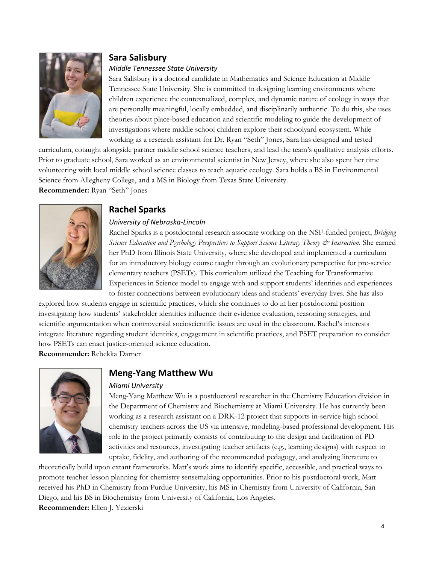

# **Sara Salisbury**

#### *Middle Tennessee State University*

Sara Salisbury is a doctoral candidate in Mathematics and Science Education at Middle Tennessee State University. She is committed to designing learning environments where children experience the contextualized, complex, and dynamic nature of ecology in ways that are personally meaningful, locally embedded, and disciplinarily authentic. To do this, she uses theories about place-based education and scientific modeling to guide the development of investigations where middle school children explore their schoolyard ecosystem. While working as a research assistant for Dr. Ryan "Seth" Jones, Sara has designed and tested

curriculum, cotaught alongside partner middle school science teachers, and lead the team's qualitative analysis efforts. Prior to graduate school, Sara worked as an environmental scientist in New Jersey, where she also spent her time volunteering with local middle school science classes to teach aquatic ecology. Sara holds a BS in Environmental Science from Allegheny College, and a MS in Biology from Texas State University. **Recommender:** Ryan "Seth" Jones



# **Rachel Sparks**

#### *University of Nebraska-Lincoln*

Rachel Sparks is a postdoctoral research associate working on the NSF-funded project, *Bridging Science Education and Psychology Perspectives to Support Science Literacy Theory & Instruction*. She earned her PhD from Illinois State University, where she developed and implemented a curriculum for an introductory biology course taught through an evolutionary perspective for pre-service elementary teachers (PSETs). This curriculum utilized the Teaching for Transformative Experiences in Science model to engage with and support students' identities and experiences to foster connections between evolutionary ideas and students' everyday lives. She has also

explored how students engage in scientific practices, which she continues to do in her postdoctoral position investigating how students' stakeholder identities influence their evidence evaluation, reasoning strategies, and scientific argumentation when controversial socioscientific issues are used in the classroom. Rachel's interests integrate literature regarding student identities, engagement in scientific practices, and PSET preparation to consider how PSETs can enact justice-oriented science education.

**Recommender:** Rebekka Darner



# **Meng-Yang Matthew Wu**

#### *Miami University*

Meng-Yang Matthew Wu is a postdoctoral researcher in the Chemistry Education division in the Department of Chemistry and Biochemistry at Miami University. He has currently been working as a research assistant on a DRK-12 project that supports in-service high school chemistry teachers across the US via intensive, modeling-based professional development. His role in the project primarily consists of contributing to the design and facilitation of PD activities and resources, investigating teacher artifacts (e.g., learning designs) with respect to uptake, fidelity, and authoring of the recommended pedagogy, and analyzing literature to

theoretically build upon extant frameworks. Matt's work aims to identify specific, accessible, and practical ways to promote teacher lesson planning for chemistry sensemaking opportunities. Prior to his postdoctoral work, Matt received his PhD in Chemistry from Purdue University, his MS in Chemistry from University of California, San Diego, and his BS in Biochemistry from University of California, Los Angeles. **Recommender:** Ellen J. Yezierski